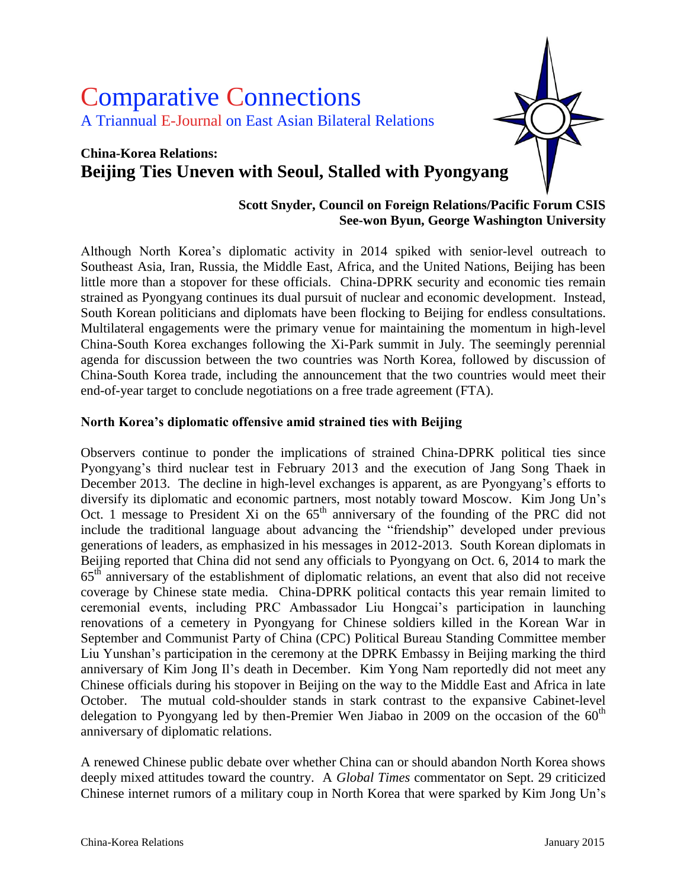# Comparative Connections A Triannual E-Journal on East Asian Bilateral Relations

## **China-Korea Relations: Beijing Ties Uneven with Seoul, Stalled with Pyongyang**

#### **Scott Snyder, Council on Foreign Relations/Pacific Forum CSIS See-won Byun, George Washington University**

Although North Korea's diplomatic activity in 2014 spiked with senior-level outreach to Southeast Asia, Iran, Russia, the Middle East, Africa, and the United Nations, Beijing has been little more than a stopover for these officials. China-DPRK security and economic ties remain strained as Pyongyang continues its dual pursuit of nuclear and economic development. Instead, South Korean politicians and diplomats have been flocking to Beijing for endless consultations. Multilateral engagements were the primary venue for maintaining the momentum in high-level China-South Korea exchanges following the Xi-Park summit in July. The seemingly perennial agenda for discussion between the two countries was North Korea, followed by discussion of China-South Korea trade, including the announcement that the two countries would meet their end-of-year target to conclude negotiations on a free trade agreement (FTA).

#### **North Korea's diplomatic offensive amid strained ties with Beijing**

Observers continue to ponder the implications of strained China-DPRK political ties since Pyongyang's third nuclear test in February 2013 and the execution of Jang Song Thaek in December 2013. The decline in high-level exchanges is apparent, as are Pyongyang's efforts to diversify its diplomatic and economic partners, most notably toward Moscow. Kim Jong Un's Oct. 1 message to President Xi on the  $65<sup>th</sup>$  anniversary of the founding of the PRC did not include the traditional language about advancing the "friendship" developed under previous generations of leaders, as emphasized in his messages in 2012-2013. South Korean diplomats in Beijing reported that China did not send any officials to Pyongyang on Oct. 6, 2014 to mark the 65th anniversary of the establishment of diplomatic relations, an event that also did not receive coverage by Chinese state media. China-DPRK political contacts this year remain limited to ceremonial events, including PRC Ambassador Liu Hongcai's participation in launching renovations of a cemetery in Pyongyang for Chinese soldiers killed in the Korean War in September and Communist Party of China (CPC) Political Bureau Standing Committee member Liu Yunshan's participation in the ceremony at the DPRK Embassy in Beijing marking the third anniversary of Kim Jong Il's death in December. Kim Yong Nam reportedly did not meet any Chinese officials during his stopover in Beijing on the way to the Middle East and Africa in late October. The mutual cold-shoulder stands in stark contrast to the expansive Cabinet-level delegation to Pyongyang led by then-Premier Wen Jiabao in 2009 on the occasion of the 60<sup>th</sup> anniversary of diplomatic relations.

A renewed Chinese public debate over whether China can or should abandon North Korea shows deeply mixed attitudes toward the country. A *Global Times* commentator on Sept. 29 criticized Chinese internet rumors of a military coup in North Korea that were sparked by Kim Jong Un's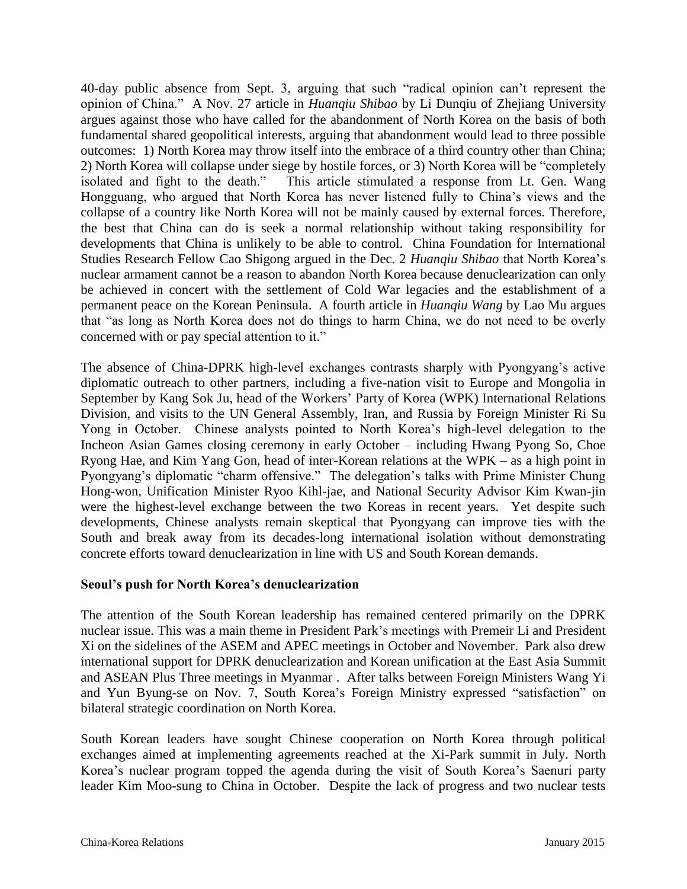40-day public absence from Sept. 3, arguing that such "radical opinion can't represent the opinion of China." A Nov. 27 article in *Huanqiu Shibao* by Li Dunqiu of Zhejiang University argues against those who have called for the abandonment of North Korea on the basis of both fundamental shared geopolitical interests, arguing that abandonment would lead to three possible outcomes: 1) North Korea may throw itself into the embrace of a third country other than China; 2) North Korea will collapse under siege by hostile forces, or 3) North Korea will be "completely isolated and fight to the death." This article stimulated a response from Lt. Gen. Wang Hongguang, who argued that North Korea has never listened fully to China's views and the collapse of a country like North Korea will not be mainly caused by external forces. Therefore, the best that China can do is seek a normal relationship without taking responsibility for developments that China is unlikely to be able to control. China Foundation for International Studies Research Fellow Cao Shigong argued in the Dec. 2 *Huanqiu Shibao* that North Korea's nuclear armament cannot be a reason to abandon North Korea because denuclearization can only be achieved in concert with the settlement of Cold War legacies and the establishment of a permanent peace on the Korean Peninsula. A fourth article in *Huanqiu Wang* by Lao Mu argues that "as long as North Korea does not do things to harm China, we do not need to be overly concerned with or pay special attention to it."

The absence of China-DPRK high-level exchanges contrasts sharply with Pyongyang's active diplomatic outreach to other partners, including a five-nation visit to Europe and Mongolia in September by Kang Sok Ju, head of the Workers' Party of Korea (WPK) International Relations Division, and visits to the UN General Assembly, Iran, and Russia by Foreign Minister Ri Su Yong in October. Chinese analysts pointed to North Korea's high-level delegation to the Incheon Asian Games closing ceremony in early October – including Hwang Pyong So, Choe Ryong Hae, and Kim Yang Gon, head of inter-Korean relations at the WPK – as a high point in Pyongyang's diplomatic "charm offensive." The delegation's talks with Prime Minister Chung Hong-won, Unification Minister Ryoo Kihl-jae, and National Security Advisor Kim Kwan-jin were the highest-level exchange between the two Koreas in recent years. Yet despite such developments, Chinese analysts remain skeptical that Pyongyang can improve ties with the South and break away from its decades-long international isolation without demonstrating concrete efforts toward denuclearization in line with US and South Korean demands.

#### **Seoul's push for North Korea's denuclearization**

The attention of the South Korean leadership has remained centered primarily on the DPRK nuclear issue. This was a main theme in President Park's meetings with Premeir Li and President Xi on the sidelines of the ASEM and APEC meetings in October and November. Park also drew international support for DPRK denuclearization and Korean unification at the East Asia Summit and ASEAN Plus Three meetings in Myanmar . After talks between Foreign Ministers Wang Yi and Yun Byung-se on Nov. 7, South Korea's Foreign Ministry expressed "satisfaction" on bilateral strategic coordination on North Korea.

South Korean leaders have sought Chinese cooperation on North Korea through political exchanges aimed at implementing agreements reached at the Xi-Park summit in July. North Korea's nuclear program topped the agenda during the visit of South Korea's Saenuri party leader Kim Moo-sung to China in October. Despite the lack of progress and two nuclear tests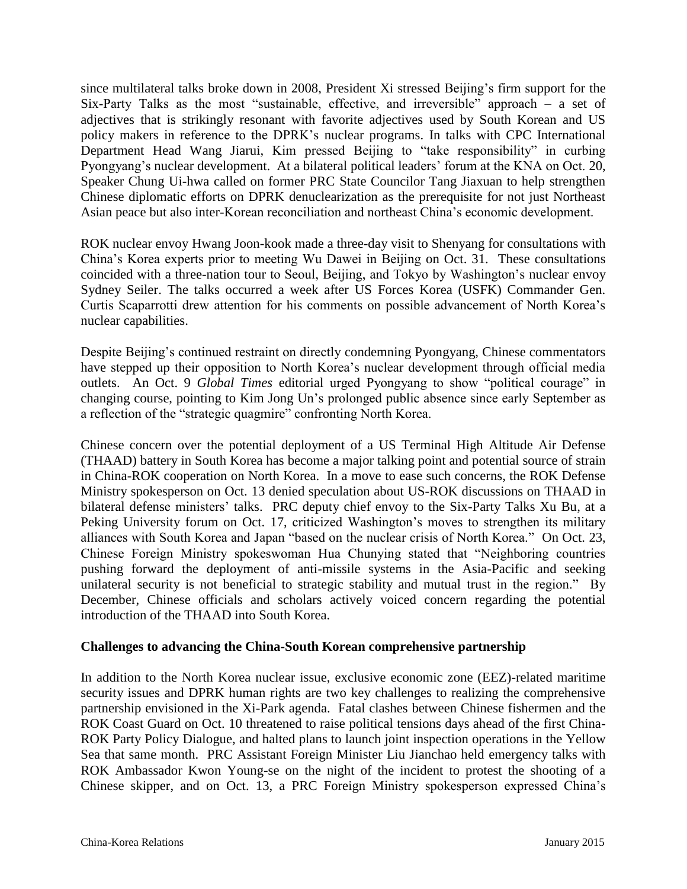since multilateral talks broke down in 2008, President Xi stressed Beijing's firm support for the Six-Party Talks as the most "sustainable, effective, and irreversible" approach – a set of adjectives that is strikingly resonant with favorite adjectives used by South Korean and US policy makers in reference to the DPRK's nuclear programs. In talks with CPC International Department Head Wang Jiarui, Kim pressed Beijing to "take responsibility" in curbing Pyongyang's nuclear development. At a bilateral political leaders' forum at the KNA on Oct. 20, Speaker Chung Ui-hwa called on former PRC State Councilor Tang Jiaxuan to help strengthen Chinese diplomatic efforts on DPRK denuclearization as the prerequisite for not just Northeast Asian peace but also inter-Korean reconciliation and northeast China's economic development.

ROK nuclear envoy Hwang Joon-kook made a three-day visit to Shenyang for consultations with China's Korea experts prior to meeting Wu Dawei in Beijing on Oct. 31. These consultations coincided with a three-nation tour to Seoul, Beijing, and Tokyo by Washington's nuclear envoy Sydney Seiler. The talks occurred a week after US Forces Korea (USFK) Commander Gen. Curtis Scaparrotti drew attention for his comments on possible advancement of North Korea's nuclear capabilities.

Despite Beijing's continued restraint on directly condemning Pyongyang, Chinese commentators have stepped up their opposition to North Korea's nuclear development through official media outlets. An Oct. 9 *Global Times* editorial urged Pyongyang to show "political courage" in changing course, pointing to Kim Jong Un's prolonged public absence since early September as a reflection of the "strategic quagmire" confronting North Korea.

Chinese concern over the potential deployment of a US Terminal High Altitude Air Defense (THAAD) battery in South Korea has become a major talking point and potential source of strain in China-ROK cooperation on North Korea. In a move to ease such concerns, the ROK Defense Ministry spokesperson on Oct. 13 denied speculation about US-ROK discussions on THAAD in bilateral defense ministers' talks. PRC deputy chief envoy to the Six-Party Talks Xu Bu, at a Peking University forum on Oct. 17, criticized Washington's moves to strengthen its military alliances with South Korea and Japan "based on the nuclear crisis of North Korea." On Oct. 23, Chinese Foreign Ministry spokeswoman Hua Chunying stated that "Neighboring countries pushing forward the deployment of anti-missile systems in the Asia-Pacific and seeking unilateral security is not beneficial to strategic stability and mutual trust in the region." By December, Chinese officials and scholars actively voiced concern regarding the potential introduction of the THAAD into South Korea.

#### **Challenges to advancing the China-South Korean comprehensive partnership**

In addition to the North Korea nuclear issue, exclusive economic zone (EEZ)-related maritime security issues and DPRK human rights are two key challenges to realizing the comprehensive partnership envisioned in the Xi-Park agenda. Fatal clashes between Chinese fishermen and the ROK Coast Guard on Oct. 10 threatened to raise political tensions days ahead of the first China-ROK Party Policy Dialogue, and halted plans to launch joint inspection operations in the Yellow Sea that same month. PRC Assistant Foreign Minister Liu Jianchao held emergency talks with ROK Ambassador Kwon Young-se on the night of the incident to protest the shooting of a Chinese skipper, and on Oct. 13, a PRC Foreign Ministry spokesperson expressed China's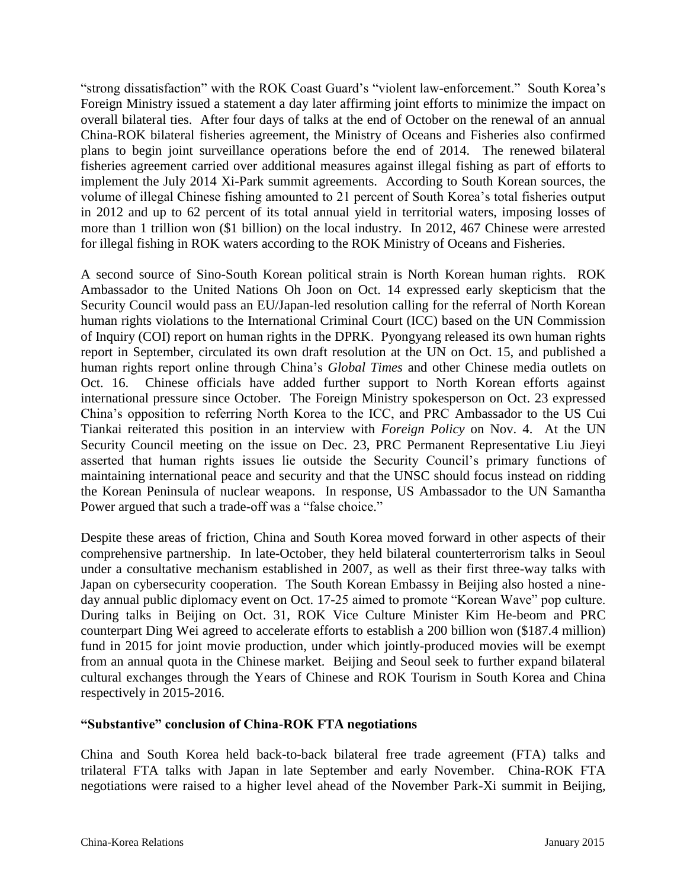"strong dissatisfaction" with the ROK Coast Guard's "violent law-enforcement." South Korea's Foreign Ministry issued a statement a day later affirming joint efforts to minimize the impact on overall bilateral ties. After four days of talks at the end of October on the renewal of an annual China-ROK bilateral fisheries agreement, the Ministry of Oceans and Fisheries also confirmed plans to begin joint surveillance operations before the end of 2014. The renewed bilateral fisheries agreement carried over additional measures against illegal fishing as part of efforts to implement the July 2014 Xi-Park summit agreements. According to South Korean sources, the volume of illegal Chinese fishing amounted to 21 percent of South Korea's total fisheries output in 2012 and up to 62 percent of its total annual yield in territorial waters, imposing losses of more than 1 trillion won (\$1 billion) on the local industry. In 2012, 467 Chinese were arrested for illegal fishing in ROK waters according to the ROK Ministry of Oceans and Fisheries.

A second source of Sino-South Korean political strain is North Korean human rights. ROK Ambassador to the United Nations Oh Joon on Oct. 14 expressed early skepticism that the Security Council would pass an EU/Japan-led resolution calling for the referral of North Korean human rights violations to the International Criminal Court (ICC) based on the UN Commission of Inquiry (COI) report on human rights in the DPRK. Pyongyang released its own human rights report in September, circulated its own draft resolution at the UN on Oct. 15, and published a human rights report online through China's *Global Times* and other Chinese media outlets on Oct. 16. Chinese officials have added further support to North Korean efforts against international pressure since October. The Foreign Ministry spokesperson on Oct. 23 expressed China's opposition to referring North Korea to the ICC, and PRC Ambassador to the US Cui Tiankai reiterated this position in an interview with *Foreign Policy* on Nov. 4. At the UN Security Council meeting on the issue on Dec. 23, PRC Permanent Representative Liu Jieyi asserted that human rights issues lie outside the Security Council's primary functions of maintaining international peace and security and that the UNSC should focus instead on ridding the Korean Peninsula of nuclear weapons. In response, US Ambassador to the UN Samantha Power argued that such a trade-off was a "false choice."

Despite these areas of friction, China and South Korea moved forward in other aspects of their comprehensive partnership. In late-October, they held bilateral counterterrorism talks in Seoul under a consultative mechanism established in 2007, as well as their first three-way talks with Japan on cybersecurity cooperation. The South Korean Embassy in Beijing also hosted a nineday annual public diplomacy event on Oct. 17-25 aimed to promote "Korean Wave" pop culture. During talks in Beijing on Oct. 31, ROK Vice Culture Minister Kim He-beom and PRC counterpart Ding Wei agreed to accelerate efforts to establish a 200 billion won (\$187.4 million) fund in 2015 for joint movie production, under which jointly-produced movies will be exempt from an annual quota in the Chinese market. Beijing and Seoul seek to further expand bilateral cultural exchanges through the Years of Chinese and ROK Tourism in South Korea and China respectively in 2015-2016.

#### **"Substantive" conclusion of China-ROK FTA negotiations**

China and South Korea held back-to-back bilateral free trade agreement (FTA) talks and trilateral FTA talks with Japan in late September and early November. China-ROK FTA negotiations were raised to a higher level ahead of the November Park-Xi summit in Beijing,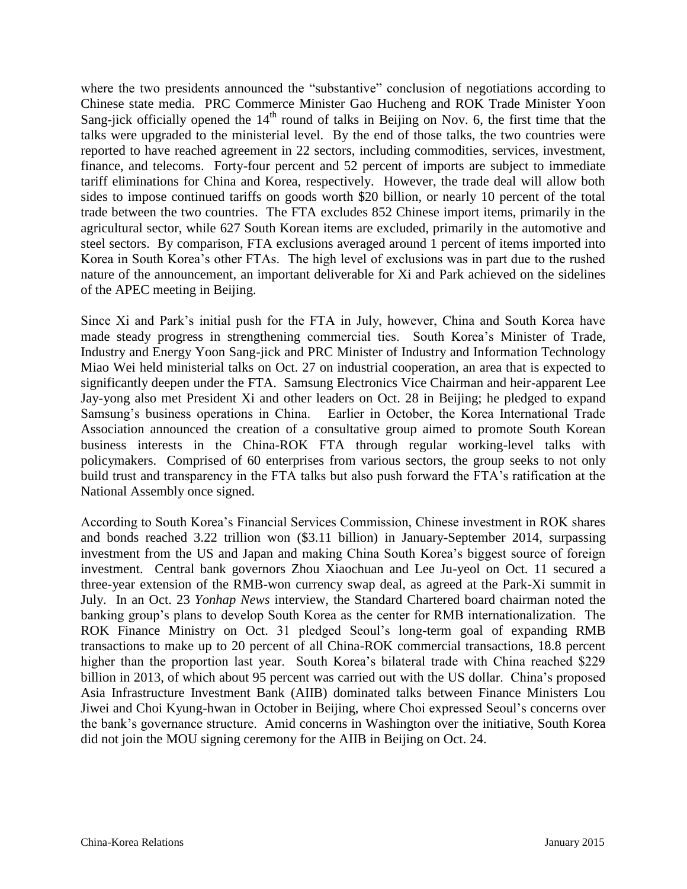where the two presidents announced the "substantive" conclusion of negotiations according to Chinese state media. PRC Commerce Minister Gao Hucheng and ROK Trade Minister Yoon Sang-jick officially opened the  $14<sup>th</sup>$  round of talks in Beijing on Nov. 6, the first time that the talks were upgraded to the ministerial level. By the end of those talks, the two countries were reported to have reached agreement in 22 sectors, including commodities, services, investment, finance, and telecoms. Forty-four percent and 52 percent of imports are subject to immediate tariff eliminations for China and Korea, respectively. However, the trade deal will allow both sides to impose continued tariffs on goods worth \$20 billion, or nearly 10 percent of the total trade between the two countries. The FTA excludes 852 Chinese import items, primarily in the agricultural sector, while 627 South Korean items are excluded, primarily in the automotive and steel sectors. By comparison, FTA exclusions averaged around 1 percent of items imported into Korea in South Korea's other FTAs. The high level of exclusions was in part due to the rushed nature of the announcement, an important deliverable for Xi and Park achieved on the sidelines of the APEC meeting in Beijing.

Since Xi and Park's initial push for the FTA in July, however, China and South Korea have made steady progress in strengthening commercial ties. South Korea's Minister of Trade, Industry and Energy Yoon Sang-jick and PRC Minister of Industry and Information Technology Miao Wei held ministerial talks on Oct. 27 on industrial cooperation, an area that is expected to significantly deepen under the FTA. Samsung Electronics Vice Chairman and heir-apparent Lee Jay-yong also met President Xi and other leaders on Oct. 28 in Beijing; he pledged to expand Samsung's business operations in China. Earlier in October, the Korea International Trade Association announced the creation of a consultative group aimed to promote South Korean business interests in the China-ROK FTA through regular working-level talks with policymakers. Comprised of 60 enterprises from various sectors, the group seeks to not only build trust and transparency in the FTA talks but also push forward the FTA's ratification at the National Assembly once signed.

According to South Korea's Financial Services Commission, Chinese investment in ROK shares and bonds reached 3.22 trillion won (\$3.11 billion) in January-September 2014, surpassing investment from the US and Japan and making China South Korea's biggest source of foreign investment. Central bank governors Zhou Xiaochuan and Lee Ju-yeol on Oct. 11 secured a three-year extension of the RMB-won currency swap deal, as agreed at the Park-Xi summit in July. In an Oct. 23 *Yonhap News* interview, the Standard Chartered board chairman noted the banking group's plans to develop South Korea as the center for RMB internationalization. The ROK Finance Ministry on Oct. 31 pledged Seoul's long-term goal of expanding RMB transactions to make up to 20 percent of all China-ROK commercial transactions, 18.8 percent higher than the proportion last year. South Korea's bilateral trade with China reached \$229 billion in 2013, of which about 95 percent was carried out with the US dollar. China's proposed Asia Infrastructure Investment Bank (AIIB) dominated talks between Finance Ministers Lou Jiwei and Choi Kyung-hwan in October in Beijing, where Choi expressed Seoul's concerns over the bank's governance structure. Amid concerns in Washington over the initiative, South Korea did not join the MOU signing ceremony for the AIIB in Beijing on Oct. 24.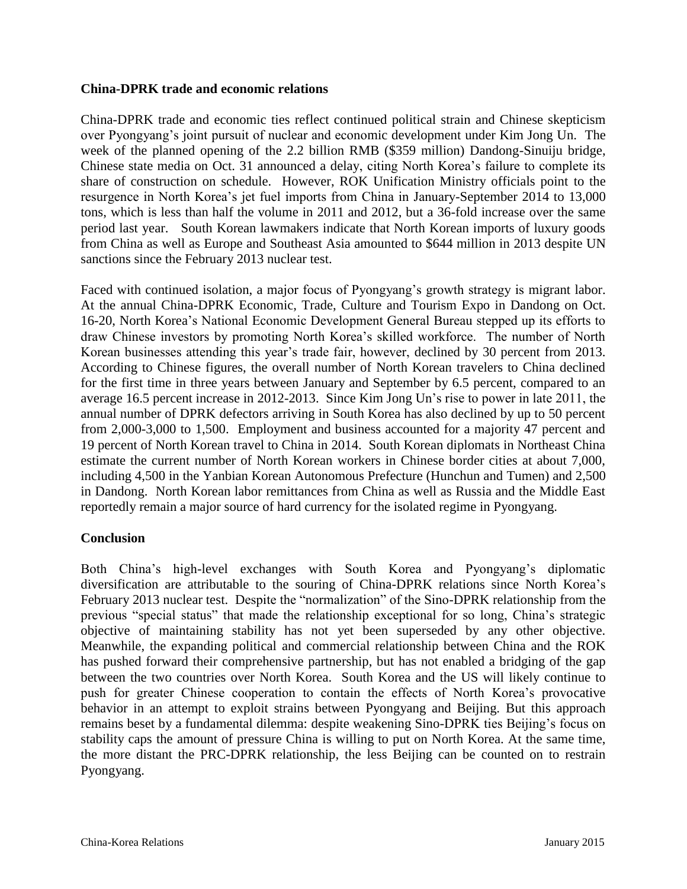#### **China-DPRK trade and economic relations**

China-DPRK trade and economic ties reflect continued political strain and Chinese skepticism over Pyongyang's joint pursuit of nuclear and economic development under Kim Jong Un. The week of the planned opening of the 2.2 billion RMB (\$359 million) Dandong-Sinuiju bridge, Chinese state media on Oct. 31 announced a delay, citing North Korea's failure to complete its share of construction on schedule. However, ROK Unification Ministry officials point to the resurgence in North Korea's jet fuel imports from China in January-September 2014 to 13,000 tons, which is less than half the volume in 2011 and 2012, but a 36-fold increase over the same period last year. South Korean lawmakers indicate that North Korean imports of luxury goods from China as well as Europe and Southeast Asia amounted to \$644 million in 2013 despite UN sanctions since the February 2013 nuclear test.

Faced with continued isolation, a major focus of Pyongyang's growth strategy is migrant labor. At the annual China-DPRK Economic, Trade, Culture and Tourism Expo in Dandong on Oct. 16-20, North Korea's National Economic Development General Bureau stepped up its efforts to draw Chinese investors by promoting North Korea's skilled workforce. The number of North Korean businesses attending this year's trade fair, however, declined by 30 percent from 2013. According to Chinese figures, the overall number of North Korean travelers to China declined for the first time in three years between January and September by 6.5 percent, compared to an average 16.5 percent increase in 2012-2013. Since Kim Jong Un's rise to power in late 2011, the annual number of DPRK defectors arriving in South Korea has also declined by up to 50 percent from 2,000-3,000 to 1,500. Employment and business accounted for a majority 47 percent and 19 percent of North Korean travel to China in 2014. South Korean diplomats in Northeast China estimate the current number of North Korean workers in Chinese border cities at about 7,000, including 4,500 in the Yanbian Korean Autonomous Prefecture (Hunchun and Tumen) and 2,500 in Dandong. North Korean labor remittances from China as well as Russia and the Middle East reportedly remain a major source of hard currency for the isolated regime in Pyongyang.

#### **Conclusion**

Both China's high-level exchanges with South Korea and Pyongyang's diplomatic diversification are attributable to the souring of China-DPRK relations since North Korea's February 2013 nuclear test. Despite the "normalization" of the Sino-DPRK relationship from the previous "special status" that made the relationship exceptional for so long, China's strategic objective of maintaining stability has not yet been superseded by any other objective. Meanwhile, the expanding political and commercial relationship between China and the ROK has pushed forward their comprehensive partnership, but has not enabled a bridging of the gap between the two countries over North Korea. South Korea and the US will likely continue to push for greater Chinese cooperation to contain the effects of North Korea's provocative behavior in an attempt to exploit strains between Pyongyang and Beijing. But this approach remains beset by a fundamental dilemma: despite weakening Sino-DPRK ties Beijing's focus on stability caps the amount of pressure China is willing to put on North Korea. At the same time, the more distant the PRC-DPRK relationship, the less Beijing can be counted on to restrain Pyongyang.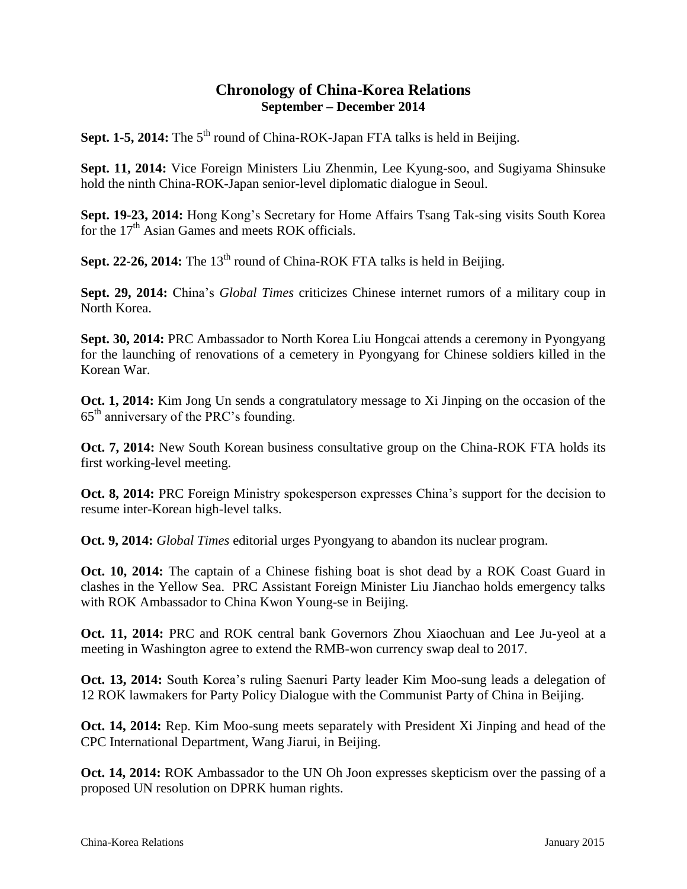### **Chronology of China-Korea Relations September – December 2014**

Sept. 1-5, 2014: The 5<sup>th</sup> round of China-ROK-Japan FTA talks is held in Beijing.

**Sept. 11, 2014:** Vice Foreign Ministers Liu Zhenmin, Lee Kyung-soo, and Sugiyama Shinsuke hold the ninth China-ROK-Japan senior-level diplomatic dialogue in Seoul.

**Sept. 19-23, 2014:** Hong Kong's Secretary for Home Affairs Tsang Tak-sing visits South Korea for the  $17<sup>th</sup>$  Asian Games and meets ROK officials.

**Sept. 22-26, 2014:** The 13<sup>th</sup> round of China-ROK FTA talks is held in Beijing.

**Sept. 29, 2014:** China's *Global Times* criticizes Chinese internet rumors of a military coup in North Korea.

**Sept. 30, 2014:** PRC Ambassador to North Korea Liu Hongcai attends a ceremony in Pyongyang for the launching of renovations of a cemetery in Pyongyang for Chinese soldiers killed in the Korean War.

**Oct. 1, 2014:** Kim Jong Un sends a congratulatory message to Xi Jinping on the occasion of the 65th anniversary of the PRC's founding.

**Oct. 7, 2014:** New South Korean business consultative group on the China-ROK FTA holds its first working-level meeting.

**Oct. 8, 2014:** PRC Foreign Ministry spokesperson expresses China's support for the decision to resume inter-Korean high-level talks.

**Oct. 9, 2014:** *Global Times* editorial urges Pyongyang to abandon its nuclear program.

**Oct. 10, 2014:** The captain of a Chinese fishing boat is shot dead by a ROK Coast Guard in clashes in the Yellow Sea. PRC Assistant Foreign Minister Liu Jianchao holds emergency talks with ROK Ambassador to China Kwon Young-se in Beijing.

**Oct. 11, 2014:** PRC and ROK central bank Governors Zhou Xiaochuan and Lee Ju-yeol at a meeting in Washington agree to extend the RMB-won currency swap deal to 2017.

**Oct. 13, 2014:** South Korea's ruling Saenuri Party leader Kim Moo-sung leads a delegation of 12 ROK lawmakers for Party Policy Dialogue with the Communist Party of China in Beijing.

**Oct. 14, 2014:** Rep. Kim Moo-sung meets separately with President Xi Jinping and head of the CPC International Department, Wang Jiarui, in Beijing.

**Oct. 14, 2014:** ROK Ambassador to the UN Oh Joon expresses skepticism over the passing of a proposed UN resolution on DPRK human rights.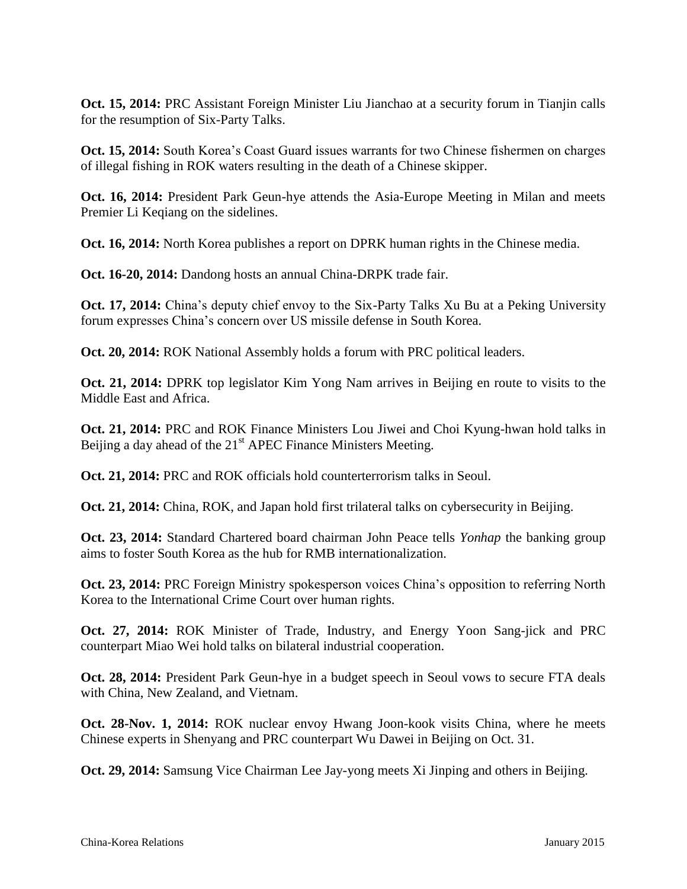**Oct. 15, 2014:** PRC Assistant Foreign Minister Liu Jianchao at a security forum in Tianjin calls for the resumption of Six-Party Talks.

**Oct. 15, 2014:** South Korea's Coast Guard issues warrants for two Chinese fishermen on charges of illegal fishing in ROK waters resulting in the death of a Chinese skipper.

**Oct. 16, 2014:** President Park Geun-hye attends the Asia-Europe Meeting in Milan and meets Premier Li Keqiang on the sidelines.

**Oct. 16, 2014:** North Korea publishes a report on DPRK human rights in the Chinese media.

**Oct. 16-20, 2014:** Dandong hosts an annual China-DRPK trade fair.

**Oct. 17, 2014:** China's deputy chief envoy to the Six-Party Talks Xu Bu at a Peking University forum expresses China's concern over US missile defense in South Korea.

**Oct. 20, 2014:** ROK National Assembly holds a forum with PRC political leaders.

**Oct. 21, 2014:** DPRK top legislator Kim Yong Nam arrives in Beijing en route to visits to the Middle East and Africa.

**Oct. 21, 2014:** PRC and ROK Finance Ministers Lou Jiwei and Choi Kyung-hwan hold talks in Beijing a day ahead of the  $21<sup>st</sup>$  APEC Finance Ministers Meeting.

**Oct. 21, 2014:** PRC and ROK officials hold counterterrorism talks in Seoul.

**Oct. 21, 2014:** China, ROK, and Japan hold first trilateral talks on cybersecurity in Beijing.

**Oct. 23, 2014:** Standard Chartered board chairman John Peace tells *Yonhap* the banking group aims to foster South Korea as the hub for RMB internationalization.

**Oct. 23, 2014:** PRC Foreign Ministry spokesperson voices China's opposition to referring North Korea to the International Crime Court over human rights.

**Oct. 27, 2014:** ROK Minister of Trade, Industry, and Energy Yoon Sang-jick and PRC counterpart Miao Wei hold talks on bilateral industrial cooperation.

**Oct. 28, 2014:** President Park Geun-hye in a budget speech in Seoul vows to secure FTA deals with China, New Zealand, and Vietnam.

**Oct. 28-Nov. 1, 2014:** ROK nuclear envoy Hwang Joon-kook visits China, where he meets Chinese experts in Shenyang and PRC counterpart Wu Dawei in Beijing on Oct. 31.

**Oct. 29, 2014:** Samsung Vice Chairman Lee Jay-yong meets Xi Jinping and others in Beijing.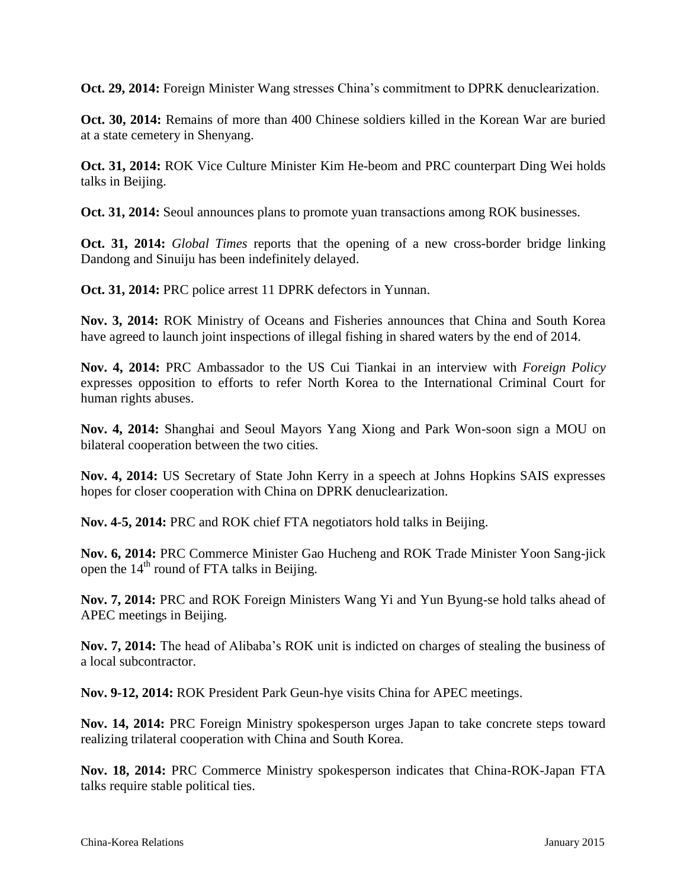**Oct. 29, 2014:** Foreign Minister Wang stresses China's commitment to DPRK denuclearization.

**Oct. 30, 2014:** Remains of more than 400 Chinese soldiers killed in the Korean War are buried at a state cemetery in Shenyang.

**Oct. 31, 2014:** ROK Vice Culture Minister Kim He-beom and PRC counterpart Ding Wei holds talks in Beijing.

**Oct. 31, 2014:** Seoul announces plans to promote yuan transactions among ROK businesses.

**Oct. 31, 2014:** *Global Times* reports that the opening of a new cross-border bridge linking Dandong and Sinuiju has been indefinitely delayed.

**Oct. 31, 2014:** PRC police arrest 11 DPRK defectors in Yunnan.

**Nov. 3, 2014:** ROK Ministry of Oceans and Fisheries announces that China and South Korea have agreed to launch joint inspections of illegal fishing in shared waters by the end of 2014.

**Nov. 4, 2014:** PRC Ambassador to the US Cui Tiankai in an interview with *Foreign Policy* expresses opposition to efforts to refer North Korea to the International Criminal Court for human rights abuses.

**Nov. 4, 2014:** Shanghai and Seoul Mayors Yang Xiong and Park Won-soon sign a MOU on bilateral cooperation between the two cities.

**Nov. 4, 2014:** US Secretary of State John Kerry in a speech at Johns Hopkins SAIS expresses hopes for closer cooperation with China on DPRK denuclearization.

**Nov. 4-5, 2014:** PRC and ROK chief FTA negotiators hold talks in Beijing.

**Nov. 6, 2014:** PRC Commerce Minister Gao Hucheng and ROK Trade Minister Yoon Sang-jick open the  $14<sup>th</sup>$  round of FTA talks in Beijing.

**Nov. 7, 2014:** PRC and ROK Foreign Ministers Wang Yi and Yun Byung-se hold talks ahead of APEC meetings in Beijing.

**Nov. 7, 2014:** The head of Alibaba's ROK unit is indicted on charges of stealing the business of a local subcontractor.

**Nov. 9-12, 2014:** ROK President Park Geun-hye visits China for APEC meetings.

**Nov. 14, 2014:** PRC Foreign Ministry spokesperson urges Japan to take concrete steps toward realizing trilateral cooperation with China and South Korea.

**Nov. 18, 2014:** PRC Commerce Ministry spokesperson indicates that China-ROK-Japan FTA talks require stable political ties.